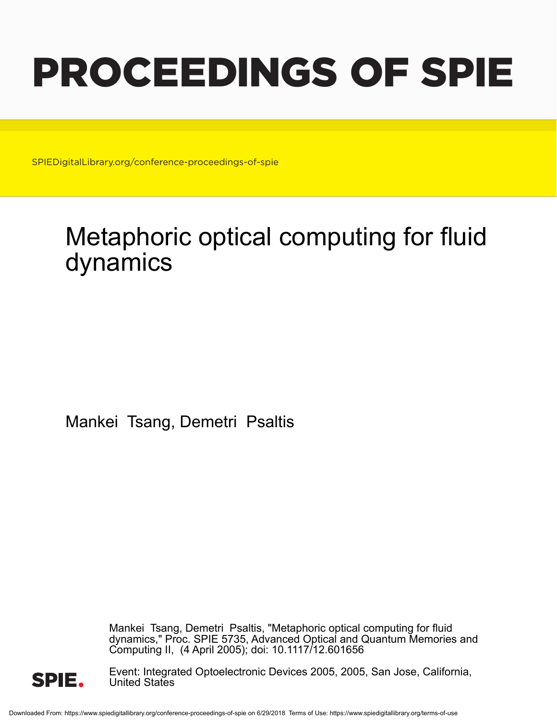# PROCEEDINGS OF SPIE

SPIEDigitalLibrary.org/conference-proceedings-of-spie

## Metaphoric optical computing for fluid dynamics

Mankei Tsang, Demetri Psaltis

Mankei Tsang, Demetri Psaltis, "Metaphoric optical computing for fluid dynamics," Proc. SPIE 5735, Advanced Optical and Quantum Memories and Computing II, (4 April 2005); doi: 10.1117/12.601656



Event: Integrated Optoelectronic Devices 2005, 2005, San Jose, California, United States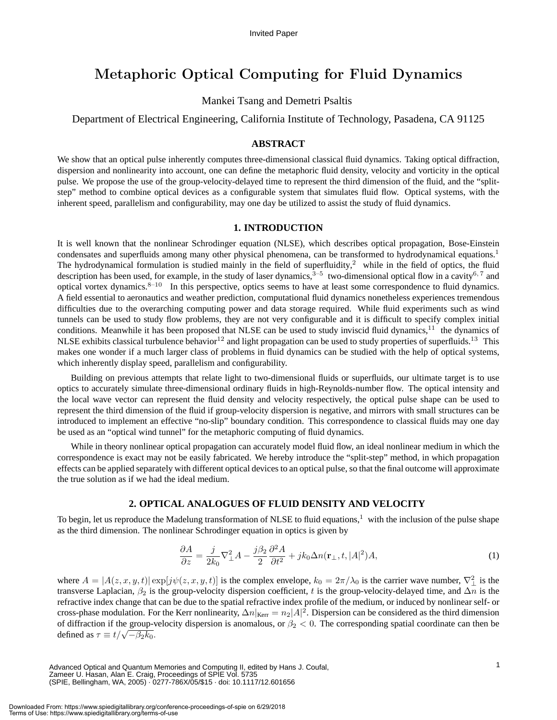### **Metaphoric Optical Computing for Fluid Dynamics**

Mankei Tsang and Demetri Psaltis

Department of Electrical Engineering, California Institute of Technology, Pasadena, CA 91125

#### **ABSTRACT**

We show that an optical pulse inherently computes three-dimensional classical fluid dynamics. Taking optical diffraction, dispersion and nonlinearity into account, one can define the metaphoric fluid density, velocity and vorticity in the optical pulse. We propose the use of the group-velocity-delayed time to represent the third dimension of the fluid, and the "splitstep" method to combine optical devices as a configurable system that simulates fluid flow. Optical systems, with the inherent speed, parallelism and configurability, may one day be utilized to assist the study of fluid dynamics.

#### **1. INTRODUCTION**

It is well known that the nonlinear Schrodinger equation (NLSE), which describes optical propagation, Bose-Einstein condensates and superfluids among many other physical phenomena, can be transformed to hydrodynamical equations.<sup>1</sup> The hydrodynamical formulation is studied mainly in the field of superfluidity, $2$  while in the field of optics, the fluid description has been used, for example, in the study of laser dynamics,  $3-5$  two-dimensional optical flow in a cavity<sup>6, 7</sup> and optical vortex dynamics. $8-10$  In this perspective, optics seems to have at least some correspondence to fluid dynamics. A field essential to aeronautics and weather prediction, computational fluid dynamics nonetheless experiences tremendous difficulties due to the overarching computing power and data storage required. While fluid experiments such as wind tunnels can be used to study flow problems, they are not very configurable and it is difficult to specify complex initial conditions. Meanwhile it has been proposed that NLSE can be used to study inviscid fluid dynamics, $11$  the dynamics of NLSE exhibits classical turbulence behavior<sup>12</sup> and light propagation can be used to study properties of superfluids.<sup>13</sup> This makes one wonder if a much larger class of problems in fluid dynamics can be studied with the help of optical systems, which inherently display speed, parallelism and configurability.

Building on previous attempts that relate light to two-dimensional fluids or superfluids, our ultimate target is to use optics to accurately simulate three-dimensional ordinary fluids in high-Reynolds-number flow. The optical intensity and the local wave vector can represent the fluid density and velocity respectively, the optical pulse shape can be used to represent the third dimension of the fluid if group-velocity dispersion is negative, and mirrors with small structures can be introduced to implement an effective "no-slip" boundary condition. This correspondence to classical fluids may one day be used as an "optical wind tunnel" for the metaphoric computing of fluid dynamics.

While in theory nonlinear optical propagation can accurately model fluid flow, an ideal nonlinear medium in which the correspondence is exact may not be easily fabricated. We hereby introduce the "split-step" method, in which propagation effects can be applied separately with different optical devices to an optical pulse, so that the final outcome will approximate the true solution as if we had the ideal medium.

#### **2. OPTICAL ANALOGUES OF FLUID DENSITY AND VELOCITY**

To begin, let us reproduce the Madelung transformation of NLSE to fluid equations,<sup>1</sup> with the inclusion of the pulse shape as the third dimension. The nonlinear Schrodinger equation in optics is given by

$$
\frac{\partial A}{\partial z} = \frac{j}{2k_0} \nabla_{\perp}^2 A - \frac{j\beta_2}{2} \frac{\partial^2 A}{\partial t^2} + jk_0 \Delta n(\mathbf{r}_{\perp}, t, |A|^2) A,\tag{1}
$$

where  $A = |A(z, x, y, t)| \exp[j\psi(z, x, y, t)]$  is the complex envelope,  $k_0 = 2\pi/\lambda_0$  is the carrier wave number,  $\nabla^2_{\perp}$  is the transverse Laplacian,  $\beta_2$  is the group-velocity dispersion coefficient, t is the group-velocity-delayed time, and  $\Delta n$  is the refractive index change that can be due to the spatial refractive index profile of the medium, or induced by nonlinear self- or cross-phase modulation. For the Kerr nonlinearity,  $\Delta n|_{\text{Kerr}} = n_2|A|^2$ . Dispersion can be considered as the third dimension of diffraction if the group-velocity dispersion is anomalous, or  $\beta_2 < 0$ . The corresponding spatial coordinate can then be defined as  $\tau \equiv t/\sqrt{-\beta_2 k_0}$ .

Advanced Optical and Quantum Memories and Computing II, edited by Hans J. Coufal, Zameer U. Hasan, Alan E. Craig, Proceedings of SPIE Vol. 5735 (SPIE, Bellingham, WA, 2005) · 0277-786X/05/\$15 · doi: 10.1117/12.601656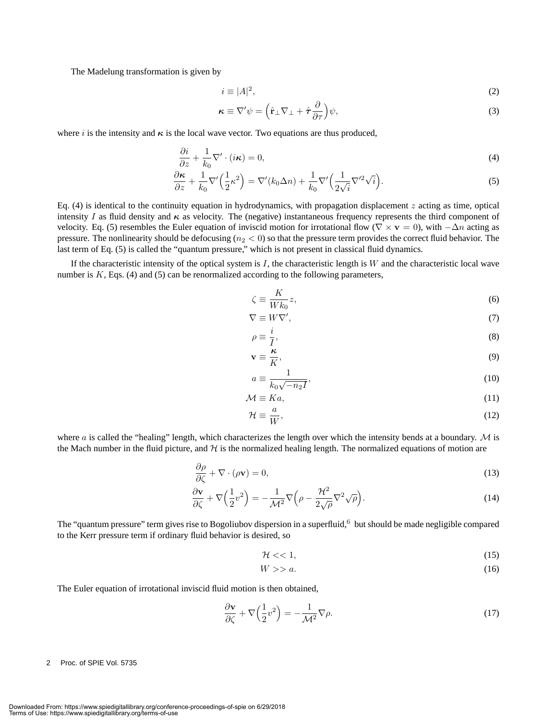The Madelung transformation is given by

$$
i \equiv |A|^2,\tag{2}
$$

$$
\kappa \equiv \nabla' \psi = \left(\hat{\mathbf{r}}_{\perp} \nabla_{\perp} + \hat{\boldsymbol{\tau}} \frac{\partial}{\partial \tau}\right) \psi, \tag{3}
$$

where i is the intensity and  $\kappa$  is the local wave vector. Two equations are thus produced,

$$
\frac{\partial i}{\partial z} + \frac{1}{k_0} \nabla' \cdot (i\kappa) = 0,\tag{4}
$$

$$
\frac{\partial \kappa}{\partial z} + \frac{1}{k_0} \nabla' \left(\frac{1}{2} \kappa^2\right) = \nabla'(k_0 \Delta n) + \frac{1}{k_0} \nabla' \left(\frac{1}{2\sqrt{i}} \nabla'^2 \sqrt{i}\right).
$$
\n(5)

Eq. (4) is identical to the continuity equation in hydrodynamics, with propagation displacement  $z$  acting as time, optical intensity I as fluid density and  $\kappa$  as velocity. The (negative) instantaneous frequency represents the third component of velocity. Eq. (5) resembles the Euler equation of inviscid motion for irrotational flow ( $\nabla \times$ **v** = 0), with  $-\Delta n$  acting as pressure. The nonlinearity should be defocusing  $(n_2 < 0)$  so that the pressure term provides the correct fluid behavior. The last term of Eq. (5) is called the "quantum pressure," which is not present in classical fluid dynamics.

If the characteristic intensity of the optical system is  $I$ , the characteristic length is  $W$  and the characteristic local wave number is  $K$ , Eqs. (4) and (5) can be renormalized according to the following parameters,

$$
\zeta \equiv \frac{K}{Wk_0} z,\tag{6}
$$

$$
\nabla \equiv W \nabla',\tag{7}
$$

$$
\rho \equiv \frac{i}{I},\tag{8}
$$

$$
\mathbf{v} \equiv \frac{\kappa}{K},\tag{9}
$$

$$
a \equiv \frac{1}{k_0 \sqrt{-n_2 I}},\tag{10}
$$

$$
\mathcal{M} \equiv K a,\tag{11}
$$

$$
\mathcal{H} \equiv \frac{a}{W},\tag{12}
$$

where  $a$  is called the "healing" length, which characterizes the length over which the intensity bends at a boundary. M is the Mach number in the fluid picture, and  $H$  is the normalized healing length. The normalized equations of motion are

$$
\frac{\partial \rho}{\partial \zeta} + \nabla \cdot (\rho \mathbf{v}) = 0,\tag{13}
$$

$$
\frac{\partial \mathbf{v}}{\partial \zeta} + \nabla \left(\frac{1}{2}v^2\right) = -\frac{1}{\mathcal{M}^2} \nabla \left(\rho - \frac{\mathcal{H}^2}{2\sqrt{\rho}} \nabla^2 \sqrt{\rho}\right).
$$
\n(14)

The "quantum pressure" term gives rise to Bogoliubov dispersion in a superfluid,  $6\,$  but should be made negligible compared to the Kerr pressure term if ordinary fluid behavior is desired, so

$$
\mathcal{H} << 1,\tag{15}
$$

$$
W >> a. \tag{16}
$$

The Euler equation of irrotational inviscid fluid motion is then obtained,

$$
\frac{\partial \mathbf{v}}{\partial \zeta} + \nabla \left(\frac{1}{2}v^2\right) = -\frac{1}{\mathcal{M}^2} \nabla \rho.
$$
\n(17)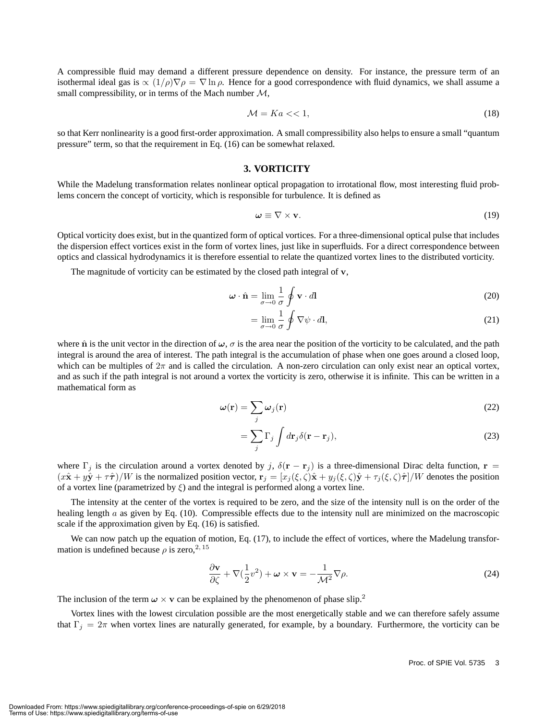A compressible fluid may demand a different pressure dependence on density. For instance, the pressure term of an isothermal ideal gas is  $\propto (1/\rho)\nabla \rho = \nabla \ln \rho$ . Hence for a good correspondence with fluid dynamics, we shall assume a small compressibility, or in terms of the Mach number  $\mathcal{M}$ ,

$$
\mathcal{M} = Ka \ll 1,\tag{18}
$$

so that Kerr nonlinearity is a good first-order approximation. A small compressibility also helps to ensure a small "quantum pressure" term, so that the requirement in Eq. (16) can be somewhat relaxed.

#### **3. VORTICITY**

While the Madelung transformation relates nonlinear optical propagation to irrotational flow, most interesting fluid problems concern the concept of vorticity, which is responsible for turbulence. It is defined as

$$
\omega \equiv \nabla \times \mathbf{v}.\tag{19}
$$

Optical vorticity does exist, but in the quantized form of optical vortices. For a three-dimensional optical pulse that includes the dispersion effect vortices exist in the form of vortex lines, just like in superfluids. For a direct correspondence between optics and classical hydrodynamics it is therefore essential to relate the quantized vortex lines to the distributed vorticity.

The magnitude of vorticity can be estimated by the closed path integral of **v**,

$$
\omega \cdot \hat{\mathbf{n}} = \lim_{\sigma \to 0} \frac{1}{\sigma} \oint \mathbf{v} \cdot d\mathbf{l}
$$
 (20)

$$
= \lim_{\sigma \to 0} \frac{1}{\sigma} \oint \nabla \psi \cdot d\mathbf{l},\tag{21}
$$

where  $\hat{\bf n}$  is the unit vector in the direction of  $\omega$ ,  $\sigma$  is the area near the position of the vorticity to be calculated, and the path integral is around the area of interest. The path integral is the accumulation of phase when one goes around a closed loop, which can be multiples of  $2\pi$  and is called the circulation. A non-zero circulation can only exist near an optical vortex, and as such if the path integral is not around a vortex the vorticity is zero, otherwise it is infinite. This can be written in a mathematical form as

$$
\omega(\mathbf{r}) = \sum_{i} \omega_{j}(\mathbf{r})
$$
\n(22)

$$
=\sum_{j}\Gamma_{j}\int d\mathbf{r}_{j}\delta(\mathbf{r}-\mathbf{r}_{j}),
$$
\n(23)

where  $\Gamma_j$  is the circulation around a vortex denoted by j,  $\delta(\mathbf{r} - \mathbf{r}_j)$  is a three-dimensional Dirac delta function,  $\mathbf{r} =$  $(x\hat{\mathbf{x}} + y\hat{\mathbf{y}} + \tau\hat{\boldsymbol{\tau}})/W$  is the normalized position vector,  $\mathbf{r}_j = [x_j(\xi, \zeta)\hat{\mathbf{x}} + y_j(\xi, \zeta)\hat{\mathbf{y}} + \tau_j(\xi, \zeta)\hat{\boldsymbol{\tau}}]/W$  denotes the position of a vortex line (parametrized by  $\xi$ ) and the integral is performed along a vortex line.

The intensity at the center of the vortex is required to be zero, and the size of the intensity null is on the order of the healing length a as given by Eq. (10). Compressible effects due to the intensity null are minimized on the macroscopic scale if the approximation given by Eq. (16) is satisfied.

We can now patch up the equation of motion, Eq. (17), to include the effect of vortices, where the Madelung transformation is undefined because  $\rho$  is zero,<sup>2, 15</sup>

$$
\frac{\partial \mathbf{v}}{\partial \zeta} + \nabla (\frac{1}{2} v^2) + \boldsymbol{\omega} \times \mathbf{v} = -\frac{1}{\mathcal{M}^2} \nabla \rho.
$$
 (24)

The inclusion of the term  $\omega \times v$  can be explained by the phenomenon of phase slip.<sup>2</sup>

Vortex lines with the lowest circulation possible are the most energetically stable and we can therefore safely assume that  $\Gamma_j = 2\pi$  when vortex lines are naturally generated, for example, by a boundary. Furthermore, the vorticity can be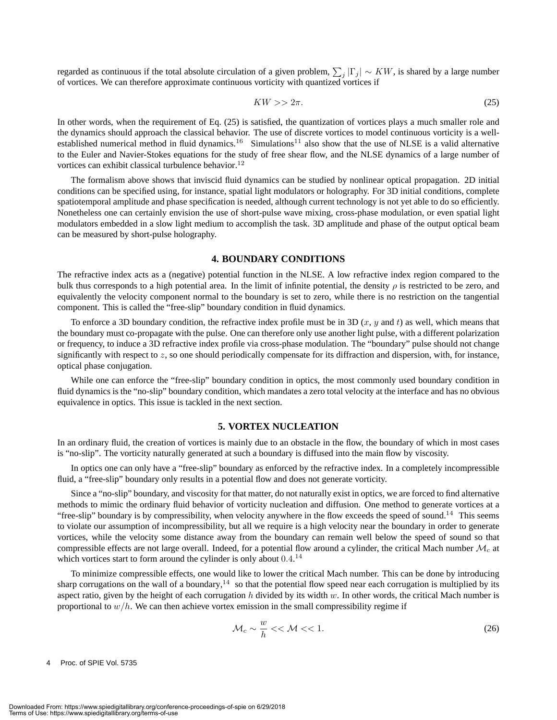regarded as continuous if the total absolute circulation of a given problem,  $\sum_j |\Gamma_j| \sim KW$ , is shared by a large number<br>of vortices. We can therefore approximate continuous vorticity with quantized vortices if of vortices. We can therefore approximate continuous vorticity with quantized vortices if

$$
KW>>2\pi.\t\t(25)
$$

In other words, when the requirement of Eq. (25) is satisfied, the quantization of vortices plays a much smaller role and the dynamics should approach the classical behavior. The use of discrete vortices to model continuous vorticity is a wellestablished numerical method in fluid dynamics.<sup>16</sup> Simulations<sup>11</sup> also show that the use of NLSE is a valid alternative to the Euler and Navier-Stokes equations for the study of free shear flow, and the NLSE dynamics of a large number of vortices can exhibit classical turbulence behavior.<sup>12</sup>

The formalism above shows that inviscid fluid dynamics can be studied by nonlinear optical propagation. 2D initial conditions can be specified using, for instance, spatial light modulators or holography. For 3D initial conditions, complete spatiotemporal amplitude and phase specification is needed, although current technology is not yet able to do so efficiently. Nonetheless one can certainly envision the use of short-pulse wave mixing, cross-phase modulation, or even spatial light modulators embedded in a slow light medium to accomplish the task. 3D amplitude and phase of the output optical beam can be measured by short-pulse holography.

#### **4. BOUNDARY CONDITIONS**

The refractive index acts as a (negative) potential function in the NLSE. A low refractive index region compared to the bulk thus corresponds to a high potential area. In the limit of infinite potential, the density  $\rho$  is restricted to be zero, and equivalently the velocity component normal to the boundary is set to zero, while there is no restriction on the tangential component. This is called the "free-slip" boundary condition in fluid dynamics.

To enforce a 3D boundary condition, the refractive index profile must be in 3D  $(x, y$  and t) as well, which means that the boundary must co-propagate with the pulse. One can therefore only use another light pulse, with a different polarization or frequency, to induce a 3D refractive index profile via cross-phase modulation. The "boundary" pulse should not change significantly with respect to  $z$ , so one should periodically compensate for its diffraction and dispersion, with, for instance, optical phase conjugation.

While one can enforce the "free-slip" boundary condition in optics, the most commonly used boundary condition in fluid dynamics is the "no-slip" boundary condition, which mandates a zero total velocity at the interface and has no obvious equivalence in optics. This issue is tackled in the next section.

#### **5. VORTEX NUCLEATION**

In an ordinary fluid, the creation of vortices is mainly due to an obstacle in the flow, the boundary of which in most cases is "no-slip". The vorticity naturally generated at such a boundary is diffused into the main flow by viscosity.

In optics one can only have a "free-slip" boundary as enforced by the refractive index. In a completely incompressible fluid, a "free-slip" boundary only results in a potential flow and does not generate vorticity.

Since a "no-slip" boundary, and viscosity for that matter, do not naturally exist in optics, we are forced to find alternative methods to mimic the ordinary fluid behavior of vorticity nucleation and diffusion. One method to generate vortices at a "free-slip" boundary is by compressibility, when velocity anywhere in the flow exceeds the speed of sound.<sup>14</sup> This seems to violate our assumption of incompressibility, but all we require is a high velocity near the boundary in order to generate vortices, while the velocity some distance away from the boundary can remain well below the speed of sound so that compressible effects are not large overall. Indeed, for a potential flow around a cylinder, the critical Mach number  $\mathcal{M}_c$  at which vortices start to form around the cylinder is only about  $0.4$ .<sup>14</sup>

To minimize compressible effects, one would like to lower the critical Mach number. This can be done by introducing sharp corrugations on the wall of a boundary, $14$  so that the potential flow speed near each corrugation is multiplied by its aspect ratio, given by the height of each corrugation h divided by its width  $w$ . In other words, the critical Mach number is proportional to  $w/h$ . We can then achieve vortex emission in the small compressibility regime if

$$
\mathcal{M}_c \sim \frac{w}{h} \ll \mathcal{M} \ll 1. \tag{26}
$$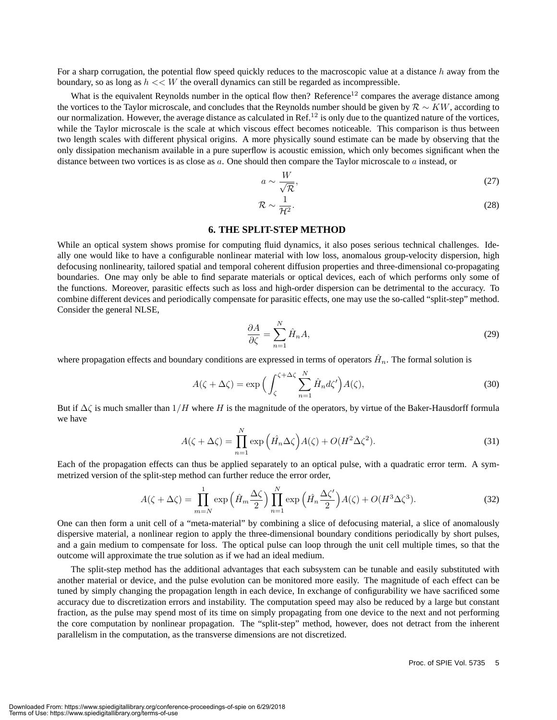For a sharp corrugation, the potential flow speed quickly reduces to the macroscopic value at a distance h away from the boundary, so as long as  $h \ll W$  the overall dynamics can still be regarded as incompressible.

What is the equivalent Reynolds number in the optical flow then? Reference<sup>12</sup> compares the average distance among the vortices to the Taylor microscale, and concludes that the Reynolds number should be given by  $\mathcal{R} \sim KW$ , according to our normalization. However, the average distance as calculated in Ref.<sup>12</sup> is only due to the quantized nature of the vortices, while the Taylor microscale is the scale at which viscous effect becomes noticeable. This comparison is thus between two length scales with different physical origins. A more physically sound estimate can be made by observing that the only dissipation mechanism available in a pure superflow is acoustic emission, which only becomes significant when the distance between two vortices is as close as  $a$ . One should then compare the Taylor microscale to  $a$  instead, or

$$
a \sim \frac{W}{\sqrt{\mathcal{R}}},\tag{27}
$$

$$
\mathcal{R} \sim \frac{1}{\mathcal{H}^2}.\tag{28}
$$

#### **6. THE SPLIT-STEP METHOD**

While an optical system shows promise for computing fluid dynamics, it also poses serious technical challenges. Ideally one would like to have a configurable nonlinear material with low loss, anomalous group-velocity dispersion, high defocusing nonlinearity, tailored spatial and temporal coherent diffusion properties and three-dimensional co-propagating boundaries. One may only be able to find separate materials or optical devices, each of which performs only some of the functions. Moreover, parasitic effects such as loss and high-order dispersion can be detrimental to the accuracy. To combine different devices and periodically compensate for parasitic effects, one may use the so-called "split-step" method. Consider the general NLSE,

$$
\frac{\partial A}{\partial \zeta} = \sum_{n=1}^{N} \hat{H}_n A,\tag{29}
$$

where propagation effects and boundary conditions are expressed in terms of operators  $H_n$ . The formal solution is

$$
A(\zeta + \Delta \zeta) = \exp\Big(\int_{\zeta}^{\zeta + \Delta \zeta} \sum_{n=1}^{N} \hat{H}_n d\zeta'\Big) A(\zeta),\tag{30}
$$

But if  $\Delta\zeta$  is much smaller than  $1/H$  where H is the magnitude of the operators, by virtue of the Baker-Hausdorff formula we have

$$
A(\zeta + \Delta \zeta) = \prod_{n=1}^{N} \exp\left(\hat{H_n} \Delta \zeta\right) A(\zeta) + O(H^2 \Delta \zeta^2). \tag{31}
$$

Each of the propagation effects can thus be applied separately to an optical pulse, with a quadratic error term. A symmetrized version of the split-step method can further reduce the error order,

$$
A(\zeta + \Delta \zeta) = \prod_{m=N}^{1} \exp\left(\hat{H}_m \frac{\Delta \zeta}{2}\right) \prod_{n=1}^{N} \exp\left(\hat{H}_n \frac{\Delta \zeta'}{2}\right) A(\zeta) + O(H^3 \Delta \zeta^3). \tag{32}
$$

One can then form a unit cell of a "meta-material" by combining a slice of defocusing material, a slice of anomalously dispersive material, a nonlinear region to apply the three-dimensional boundary conditions periodically by short pulses, and a gain medium to compensate for loss. The optical pulse can loop through the unit cell multiple times, so that the outcome will approximate the true solution as if we had an ideal medium.

The split-step method has the additional advantages that each subsystem can be tunable and easily substituted with another material or device, and the pulse evolution can be monitored more easily. The magnitude of each effect can be tuned by simply changing the propagation length in each device, In exchange of configurability we have sacrificed some accuracy due to discretization errors and instability. The computation speed may also be reduced by a large but constant fraction, as the pulse may spend most of its time on simply propagating from one device to the next and not performing the core computation by nonlinear propagation. The "split-step" method, however, does not detract from the inherent parallelism in the computation, as the transverse dimensions are not discretized.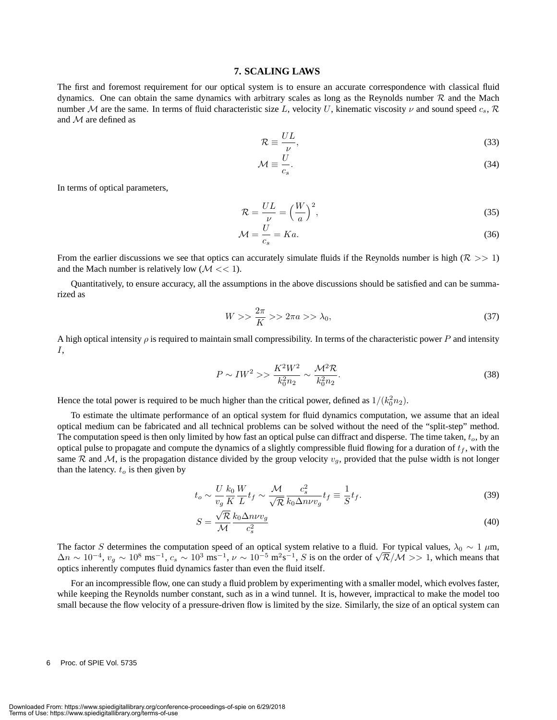#### **7. SCALING LAWS**

The first and foremost requirement for our optical system is to ensure an accurate correspondence with classical fluid dynamics. One can obtain the same dynamics with arbitrary scales as long as the Reynolds number  $R$  and the Mach number M are the same. In terms of fluid characteristic size L, velocity U, kinematic viscosity  $\nu$  and sound speed  $c_s$ ,  $\mathcal{R}$ and M are defined as

$$
\mathcal{R} \equiv \frac{UL}{\nu},\tag{33}
$$

$$
\mathcal{M} \equiv \frac{U}{c_s}.\tag{34}
$$

In terms of optical parameters,

$$
\mathcal{R} = \frac{UL}{\nu} = \left(\frac{W}{a}\right)^2,\tag{35}
$$

$$
\mathcal{M} = \frac{U}{c_s} = Ka.
$$
\n(36)

From the earlier discussions we see that optics can accurately simulate fluids if the Reynolds number is high ( $\mathcal{R}$  >> 1) and the Mach number is relatively low  $(\mathcal{M} \ll 1)$ .

Quantitatively, to ensure accuracy, all the assumptions in the above discussions should be satisfied and can be summarized as

$$
W \gg \frac{2\pi}{K} \gg 2\pi a \gg \lambda_0,\tag{37}
$$

A high optical intensity  $\rho$  is required to maintain small compressibility. In terms of the characteristic power P and intensity I,

$$
P \sim I W^2 >> \frac{K^2 W^2}{k_0^2 n_2} \sim \frac{\mathcal{M}^2 \mathcal{R}}{k_0^2 n_2}.
$$
\n(38)

Hence the total power is required to be much higher than the critical power, defined as  $1/(k_0^2 n_2)$ .

To estimate the ultimate performance of an optical system for fluid dynamics computation, we assume that an ideal optical medium can be fabricated and all technical problems can be solved without the need of the "split-step" method. The computation speed is then only limited by how fast an optical pulse can diffract and disperse. The time taken,  $t_o$ , by an optical pulse to propagate and compute the dynamics of a slightly compressible fluid flowing for a duration of  $t_f$ , with the same R and M, is the propagation distance divided by the group velocity  $v_q$ , provided that the pulse width is not longer than the latency.  $t_o$  is then given by

$$
t_o \sim \frac{U}{v_g} \frac{k_0}{K} \frac{W}{L} t_f \sim \frac{\mathcal{M}}{\sqrt{\mathcal{R}}} \frac{c_s^2}{k_0 \Delta n \nu v_g} t_f \equiv \frac{1}{S} t_f.
$$
 (39)

$$
S = \frac{\sqrt{\mathcal{R}}}{\mathcal{M}} \frac{k_0 \Delta n \nu v_g}{c_s^2} \tag{40}
$$

The factor S determines the computation speed of an optical system relative to a fluid. For typical values,  $\lambda_0 \sim 1 \ \mu m$ ,  $\Delta n \sim 10^{-4}$ ,  $v_g \sim 10^8$  ms<sup>-1</sup>,  $c_s \sim 10^3$  ms<sup>-1</sup>,  $\nu \sim 10^{-5}$  m<sup>2</sup>s<sup>-1</sup>, S is on the order of  $\sqrt{\mathcal{R}}/\mathcal{M} >> 1$ , which means that optics inherently computes fluid dynamics faster than even the fluid itself.

For an incompressible flow, one can study a fluid problem by experimenting with a smaller model, which evolves faster, while keeping the Reynolds number constant, such as in a wind tunnel. It is, however, impractical to make the model too small because the flow velocity of a pressure-driven flow is limited by the size. Similarly, the size of an optical system can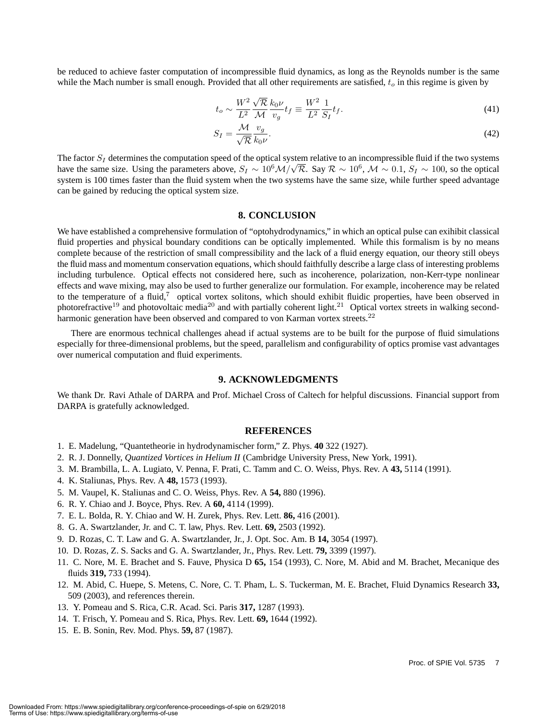be reduced to achieve faster computation of incompressible fluid dynamics, as long as the Reynolds number is the same while the Mach number is small enough. Provided that all other requirements are satisfied,  $t<sub>o</sub>$  in this regime is given by

$$
t_o \sim \frac{W^2}{L^2} \frac{\sqrt{\mathcal{R}}}{\mathcal{M}} \frac{k_0 \nu}{v_g} t_f \equiv \frac{W^2}{L^2} \frac{1}{S_I} t_f.
$$
\n
$$
\tag{41}
$$

$$
S_I = \frac{\mathcal{M}}{\sqrt{\mathcal{R}}} \frac{v_g}{k_0 \nu}.
$$
 (42)

The factor  $S_I$  determines the computation speed of the optical system relative to an incompressible fluid if the two systems have the same size. Using the parameters above,  $S_I \sim 10^6 \mathcal{M}/\sqrt{\mathcal{R}}$ . Say  $\mathcal{R} \sim 10^6$ ,  $\mathcal{M} \sim 0.1$ ,  $S_I \sim 100$ , so the optical experiment is 100 times factor than the fluid exptom when the two exptoms have the system is 100 times faster than the fluid system when the two systems have the same size, while further speed advantage can be gained by reducing the optical system size.

#### **8. CONCLUSION**

We have established a comprehensive formulation of "optohydrodynamics," in which an optical pulse can exihibit classical fluid properties and physical boundary conditions can be optically implemented. While this formalism is by no means complete because of the restriction of small compressibility and the lack of a fluid energy equation, our theory still obeys the fluid mass and momentum conservation equations, which should faithfully describe a large class of interesting problems including turbulence. Optical effects not considered here, such as incoherence, polarization, non-Kerr-type nonlinear effects and wave mixing, may also be used to further generalize our formulation. For example, incoherence may be related to the temperature of a fluid,<sup>7</sup> optical vortex solitons, which should exhibit fluidic properties, have been observed in photorefractive<sup>19</sup> and photovoltaic media<sup>20</sup> and with partially coherent light.<sup>21</sup> Optical vortex streets in walking secondharmonic generation have been observed and compared to von Karman vortex streets.<sup>22</sup>

There are enormous technical challenges ahead if actual systems are to be built for the purpose of fluid simulations especially for three-dimensional problems, but the speed, parallelism and configurability of optics promise vast advantages over numerical computation and fluid experiments.

#### **9. ACKNOWLEDGMENTS**

We thank Dr. Ravi Athale of DARPA and Prof. Michael Cross of Caltech for helpful discussions. Financial support from DARPA is gratefully acknowledged.

#### **REFERENCES**

- 1. E. Madelung, "Quantetheorie in hydrodynamischer form," Z. Phys. **40** 322 (1927).
- 2. R. J. Donnelly, *Quantized Vortices in Helium II* (Cambridge University Press, New York, 1991).
- 3. M. Brambilla, L. A. Lugiato, V. Penna, F. Prati, C. Tamm and C. O. Weiss, Phys. Rev. A **43,** 5114 (1991).
- 4. K. Staliunas, Phys. Rev. A **48,** 1573 (1993).
- 5. M. Vaupel, K. Staliunas and C. O. Weiss, Phys. Rev. A **54,** 880 (1996).
- 6. R. Y. Chiao and J. Boyce, Phys. Rev. A **60,** 4114 (1999).
- 7. E. L. Bolda, R. Y. Chiao and W. H. Zurek, Phys. Rev. Lett. **86,** 416 (2001).
- 8. G. A. Swartzlander, Jr. and C. T. law, Phys. Rev. Lett. **69,** 2503 (1992).
- 9. D. Rozas, C. T. Law and G. A. Swartzlander, Jr., J. Opt. Soc. Am. B **14,** 3054 (1997).
- 10. D. Rozas, Z. S. Sacks and G. A. Swartzlander, Jr., Phys. Rev. Lett. **79,** 3399 (1997).
- 11. C. Nore, M. E. Brachet and S. Fauve, Physica D **65,** 154 (1993), C. Nore, M. Abid and M. Brachet, Mecanique des fluids **319,** 733 (1994).
- 12. M. Abid, C. Huepe, S. Metens, C. Nore, C. T. Pham, L. S. Tuckerman, M. E. Brachet, Fluid Dynamics Research **33,** 509 (2003), and references therein.
- 13. Y. Pomeau and S. Rica, C.R. Acad. Sci. Paris **317,** 1287 (1993).
- 14. T. Frisch, Y. Pomeau and S. Rica, Phys. Rev. Lett. **69,** 1644 (1992).
- 15. E. B. Sonin, Rev. Mod. Phys. **59,** 87 (1987).